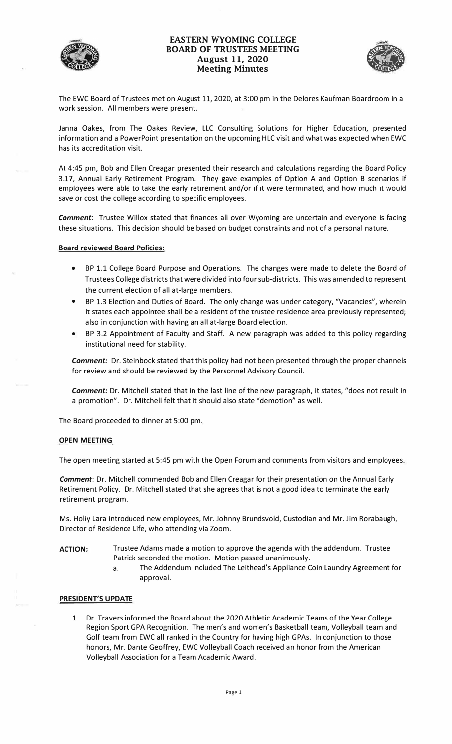

# **EASTERN WYOMING COLLEGE BOARD OF TRUSTEES MEETING August 11, 2020 MARK WITHOUT COLLECTE**<br> **CONTRUSTEES MEETING**<br> **August 11, 2020**<br> **Meeting Minutes**



The EWC Board of Trustees met on August 11, 2020, at 3:00 pm in the Delores Kaufman Boardroom in a work session. All members were present.

Janna Oakes, from The Oakes Review, LLC Consulting Solutions for Higher Education, presented information and a PowerPoint presentation on the upcoming HLC visit and what was expected when EWC has its accreditation visit.

At 4:45 pm, Bob and Ellen Creagar presented their research and calculations regarding the Board Policy 3.17, Annual Early Retirement Program. They gave examples of Option A and Option B scenarios if employees were able to take the early retirement and/or if it were terminated, and how much it would save or cost the college according to specific employees.

*Comment:* Trustee Willox stated that finances all over Wyoming are uncertain and everyone is facing these situations. This decision should be based on budget constraints and not of a personal nature.

### **Board reviewed Board Policies:**

- BP 1.1 College Board Purpose and Operations. The changes were made to delete the Board of Trustees College districts that were divided into four sub-districts. This was amended to represent the current election of all at-large members.
- BP 1.3 Election and Duties of Board. The only change was under category, "Vacancies", wherein it states each appointee shall be a resident of the trustee residence area previously represented; also in conjunction with having an all at-large Board election.
- BP 3.2 Appointment of Faculty and Staff. A new paragraph was added to this policy regarding institutional need for stability.

*Comment:* Dr. Steinbock stated that this policy had not been presented through the proper channels for review and should be reviewed by the Personnel Advisory Council.

*Comment:* Dr. Mitchell stated that in the last line of the new paragraph, it states, "does not result in a promotion". Dr. Mitchell felt that it should also state "demotion" as well.

The Board proceeded to dinner at 5:00 pm.

#### **OPEN MEETING**

The open meeting started at 5:45 pm with the Open Forum and comments from visitors and employees.

*Comment:* Dr. Mitchell commended Bob and Ellen Creagar for their presentation on the Annual Early Retirement Policy. Dr. Mitchell stated that she agrees that is not a good idea to terminate the early retirement program.

Ms. Holly Lara introduced new employees, Mr. Johnny Brundsvold, Custodian and Mr. Jim Rorabaugh, Director of Residence Life, who attending via Zoom.

- **ACTION:** Trustee Adams made a motion to approve the agenda with the addendum. Trustee Patrick seconded the motion. Motion passed unanimously.
	- a. The Addendum included The Leithead's Appliance Coin Laundry Agreement for approval.

#### **PRESIDENT'S UPDATE**

1. Dr. Travers informed the Board about the 2020 Athletic Academic Teams of the Year College Region Sport GPA Recognition. The men's and women's Basketball team, Volleyball team and Golf team from EWC all ranked in the Country for having high GPAs. In conjunction to those honors, Mr. Dante Geoffrey, EWC Volleyball Coach received an honor from the American Volleyball Association for a Team Academic Award.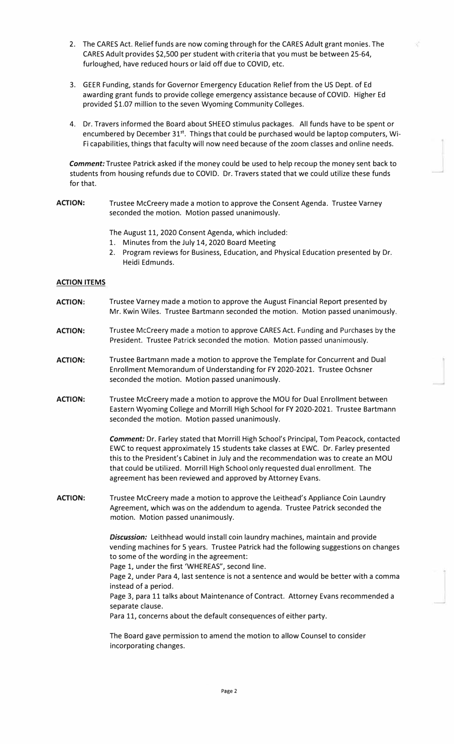- 2. The CARES Act. Relief funds are now coming through for the CARES Adult grant monies. The CARES Adult provides \$2,500 per student with criteria that you must be between 25-64, furloughed, have reduced hours or laid off due to COVID, etc.
- 3. GEER Funding, stands for Governor Emergency Education Relief from the US Dept. of Ed awarding grant funds to provide college emergency assistance because of COVID. Higher Ed provided \$1.07 million to the seven Wyoming Community Colleges.
- 4. Dr. Travers informed the Board about SHEEO stimulus packages. All funds have to be spent or encumbered by December 31<sup>st</sup>. Things that could be purchased would be laptop computers, Wi-Fi capabilities, things that faculty will now need because of the zoom classes and online needs.

*Comment:* Trustee Patrick asked if the money could be used to help recoup the money sent back to students from housing refunds due to COVID. Dr. Travers stated that we could utilize these funds for that.

ACTION: Trustee McCreery made a motion to approve the Consent Agenda. Trustee Varney seconded the motion. Motion passed unanimously.

The August 11, 2020 Consent Agenda, which included:

- 1. Minutes from the July 14, 2020 Board Meeting
- 2. Program reviews for Business, Education, and Physical Education presented by Dr. Heidi Edmunds.

# *ACTION ITEMS*

- *ACTION:* Trustee Varney made a motion to approve the August Financial Report presented by Mr. Kwin Wiles. Trustee Bartmann seconded the motion. Motion passed unanimously.
- *ACTION:* Trustee Mccreery made a motion to approve CARES Act. Funding and Purchases by the President. Trustee Patrick seconded the motion. Motion passed unanimously.
- *ACTION:* Trustee Bartmann made a motion to approve the Template for Concurrent and Dual Enrollment Memorandum of Understanding for FY 2020-2021. Trustee Ochsner seconded the motion. Motion passed unanimously.
- *ACTION:* Trustee Mccreery made a motion to approve the MOU for Dual Enrollment between Eastern Wyoming College and Morrill High School for FY 2020-2021. Trustee Bartmann seconded the motion. Motion passed unanimously.

*Comment:* Dr. Farley stated that Morrill High School's Principal, Tom Peacock, contacted EWC to request approximately 15 students take classes at EWC. Dr. Farley presented this to the President's Cabinet in July and the recommendation was to create an MOU that could be utilized. Morrill High School only requested dual enrollment. The agreement has been reviewed and approved by Attorney Evans.

*ACTION:* Trustee Mccreery made a motion to approve the Leithead's Appliance Coin Laundry Agreement, which was on the addendum to agenda. Trustee Patrick seconded the motion. Motion passed unanimously.

> *Discussion:* Leithhead would install coin laundry machines, maintain and provide vending machines for 5 years. Trustee Patrick had the following suggestions on changes to some of the wording in the agreement:

Page 1, under the first 'WHEREAS", second line.

Page 2, under Para 4, last sentence is not a sentence and would be better with a comma instead of a period.

Page 3, para 11 talks about Maintenance of Contract. Attorney Evans recommended a separate clause.

Para 11, concerns about the default consequences of either party.

The Board gave permission to amend the motion to allow Counsel to consider incorporating changes.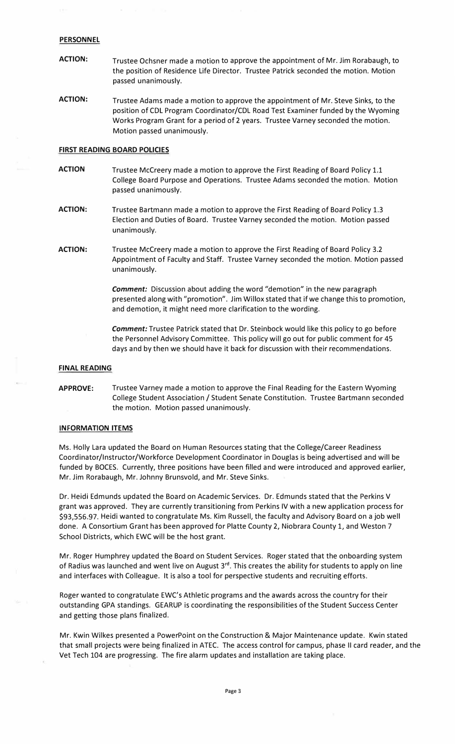#### *PERSONNEL*

- *ACTION:* Trustee Ochsner made a motion to approve the appointment of Mr. Jim Rorabaugh, to the position of Residence Life Director. Trustee Patrick seconded the motion. Motion passed unanimously.
- *ACTION:* Trustee Adams made a motion to approve the appointment of Mr. Steve Sinks, to the position of COL Program Coordinator/COL Road Test Examiner funded by the Wyoming Works Program Grant for a period of 2 years. Trustee Varney seconded the motion. Motion passed unanimously.

## *FIRST READING BOARD POLICIES*

- *ACTION* Trustee Mccreery made a motion to approve the First Reading of Board Policy 1.1 College Board Purpose and Operations. Trustee Adams seconded the motion. Motion passed unanimously.
- *ACTION:* Trustee Bartmann made a motion to approve the First Reading of Board Policy 1.3 Election and Duties of Board. Trustee Varney seconded the motion. Motion passed unanimously.
- *ACTION:* Trustee Mccreery made a motion to approve the First Reading of Board Policy 3.2 Appointment of Faculty and Staff. Trustee Varney seconded the motion. Motion passed unanimously.

*Comment:* Discussion about adding the word "demotion" in the new paragraph presented along with "promotion". Jim Willox stated that if we change this to promotion, and demotion, it might need more clarification to the wording.

*Comment:* Trustee Patrick stated that Dr. Steinbock would like this policy to go before the Personnel Advisory Committee. This policy will go out for public comment for 45 days and by then we should have it back for discussion with their recommendations.

#### **FINAL READING**

# *APPROVE:* Trustee Varney made a motion to approve the Final Reading for the Eastern Wyoming College Student Association / Student Senate Constitution. Trustee Bartmann seconded the motion. Motion passed unanimously.

#### *INFORMATION ITEMS*

Ms. Holly Lara updated the Board on Human Resources stating that the College/Career Readiness Coordinator/Instructor/Workforce Development Coordinator in Douglas is being advertised and will be funded by BOCES. Currently, three positions have been filled and were introduced and approved earlier, Mr. Jim Rorabaugh, Mr. Johnny Brunsvold, and Mr. Steve Sinks.

Dr. Heidi Edmunds updated the Board on Academic Services. Dr. Edmunds stated that the Perkins V grant was approved. They are currently transitioning from Perkins IV with a new application process for \$[93,556.97](https://93,556.97). Heidi wanted to congratulate Ms. Kim Russell, the faculty and Advisory Board on a job well done. A Consortium Grant has been approved for Platte County 2, Niobrara County 1, and Weston 7 School Districts, which EWC will be the host grant.

Mr. Roger Humphrey updated the Board on Student Services. Roger stated that the onboarding system of Radius was launched and went live on August 3**rd.** This creates the ability for students to apply on line and interfaces with Colleague. It is also a tool for perspective students and recruiting *efforts.* 

Roger wanted to congratulate EWC's Athletic programs and the awards across the country for their outstanding GPA standings. GEARUP is coordinating the responsibilities of the Student Success Center and getting those plans finalized.

Mr. Kwin Wilkes presented a PowerPoint on the Construction & Major Maintenance update. Kwin stated that small projects were being finalized in ATEC. The access control for campus, phase II card reader, and the Vet Tech 104 are progressing. The fire alarm updates and installation are taking place.